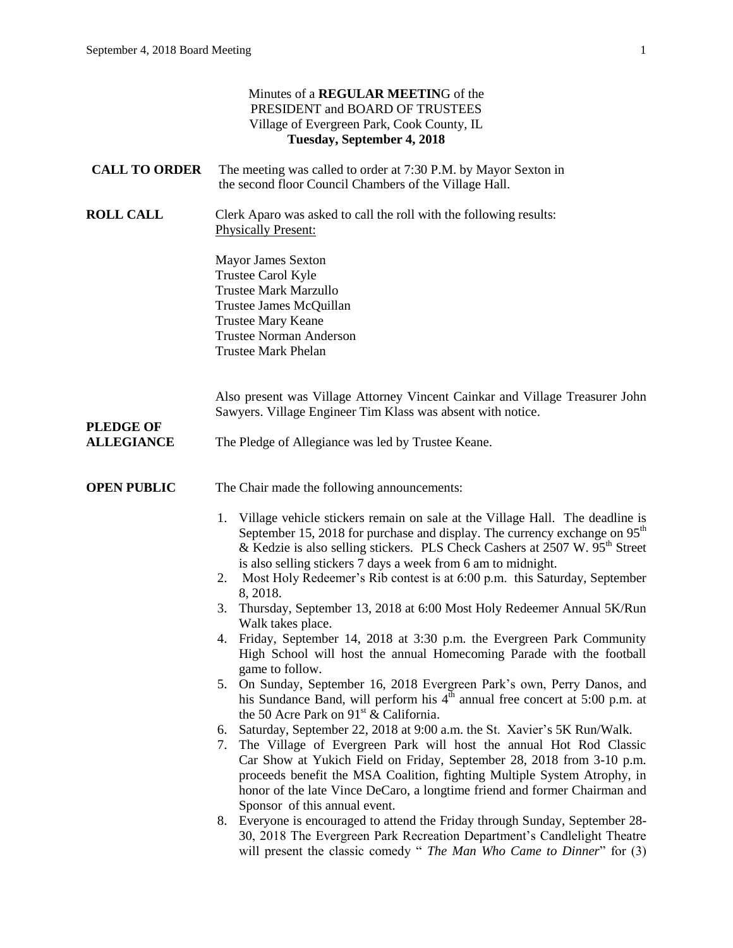|                      | Minutes of a REGULAR MEETING of the<br>PRESIDENT and BOARD OF TRUSTEES<br>Village of Evergreen Park, Cook County, IL<br>Tuesday, September 4, 2018                                                                                                                                                                                                                                                                           |
|----------------------|------------------------------------------------------------------------------------------------------------------------------------------------------------------------------------------------------------------------------------------------------------------------------------------------------------------------------------------------------------------------------------------------------------------------------|
| <b>CALL TO ORDER</b> | The meeting was called to order at 7:30 P.M. by Mayor Sexton in<br>the second floor Council Chambers of the Village Hall.                                                                                                                                                                                                                                                                                                    |
| <b>ROLL CALL</b>     | Clerk Aparo was asked to call the roll with the following results:<br><b>Physically Present:</b>                                                                                                                                                                                                                                                                                                                             |
|                      | <b>Mayor James Sexton</b><br>Trustee Carol Kyle<br><b>Trustee Mark Marzullo</b><br>Trustee James McQuillan<br><b>Trustee Mary Keane</b><br><b>Trustee Norman Anderson</b><br><b>Trustee Mark Phelan</b>                                                                                                                                                                                                                      |
| <b>PLEDGE OF</b>     | Also present was Village Attorney Vincent Cainkar and Village Treasurer John<br>Sawyers. Village Engineer Tim Klass was absent with notice.                                                                                                                                                                                                                                                                                  |
| <b>ALLEGIANCE</b>    | The Pledge of Allegiance was led by Trustee Keane.                                                                                                                                                                                                                                                                                                                                                                           |
| <b>OPEN PUBLIC</b>   | The Chair made the following announcements:                                                                                                                                                                                                                                                                                                                                                                                  |
|                      | Village vehicle stickers remain on sale at the Village Hall. The deadline is<br>1.<br>September 15, 2018 for purchase and display. The currency exchange on $95th$<br>& Kedzie is also selling stickers. PLS Check Cashers at 2507 W. 95 <sup>th</sup> Street<br>is also selling stickers 7 days a week from 6 am to midnight.<br>Most Holy Redeemer's Rib contest is at 6:00 p.m. this Saturday, September<br>2.            |
|                      | 8, 2018.<br>Thursday, September 13, 2018 at 6:00 Most Holy Redeemer Annual 5K/Run<br>3.                                                                                                                                                                                                                                                                                                                                      |
|                      | Walk takes place.<br>4. Friday, September 14, 2018 at 3:30 p.m. the Evergreen Park Community<br>High School will host the annual Homecoming Parade with the football<br>game to follow.                                                                                                                                                                                                                                      |
|                      | On Sunday, September 16, 2018 Evergreen Park's own, Perry Danos, and<br>5.<br>his Sundance Band, will perform his $4th$ annual free concert at 5:00 p.m. at<br>the 50 Acre Park on 91 <sup>st</sup> & California.                                                                                                                                                                                                            |
|                      | Saturday, September 22, 2018 at 9:00 a.m. the St. Xavier's 5K Run/Walk.<br>6.<br>The Village of Evergreen Park will host the annual Hot Rod Classic<br>7.<br>Car Show at Yukich Field on Friday, September 28, 2018 from 3-10 p.m.<br>proceeds benefit the MSA Coalition, fighting Multiple System Atrophy, in<br>honor of the late Vince DeCaro, a longtime friend and former Chairman and<br>Sponsor of this annual event. |
|                      | Everyone is encouraged to attend the Friday through Sunday, September 28-<br>8.<br>30, 2018 The Evergreen Park Recreation Department's Candlelight Theatre<br>will present the classic comedy " The Man Who Came to Dinner" for (3)                                                                                                                                                                                          |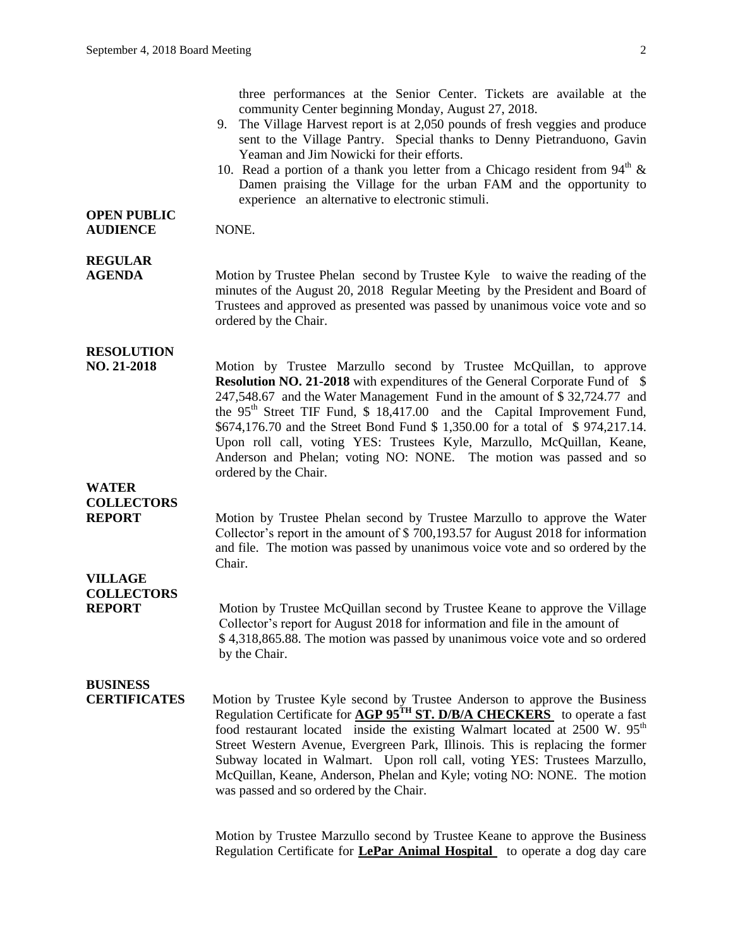three performances at the Senior Center. Tickets are available at the community Center beginning Monday, August 27, 2018.

- 9. The Village Harvest report is at 2,050 pounds of fresh veggies and produce sent to the Village Pantry. Special thanks to Denny Pietranduono, Gavin Yeaman and Jim Nowicki for their efforts.
- 10. Read a portion of a thank you letter from a Chicago resident from  $94<sup>th</sup>$  & Damen praising the Village for the urban FAM and the opportunity to experience an alternative to electronic stimuli.

#### **OPEN PUBLIC AUDIENCE** NONE.

## **REGULAR**

**AGENDA** Motion by Trustee Phelan second by Trustee Kyle to waive the reading of the minutes of the August 20, 2018 Regular Meeting by the President and Board of Trustees and approved as presented was passed by unanimous voice vote and so ordered by the Chair.

### **RESOLUTION**

**NO. 21-2018** Motion by Trustee Marzullo second by Trustee McQuillan, to approve **Resolution NO. 21-2018** with expenditures of the General Corporate Fund of \$ 247,548.67 and the Water Management Fund in the amount of \$ 32,724.77 and the 95<sup>th</sup> Street TIF Fund, \$ 18,417.00 and the Capital Improvement Fund, \$674,176.70 and the Street Bond Fund \$ 1,350.00 for a total of \$ 974,217.14. Upon roll call, voting YES: Trustees Kyle, Marzullo, McQuillan, Keane, Anderson and Phelan; voting NO: NONE. The motion was passed and so ordered by the Chair.

### **WATER COLLECTORS**

**REPORT** Motion by Trustee Phelan second by Trustee Marzullo to approve the Water Collector's report in the amount of \$ 700,193.57 for August 2018 for information and file. The motion was passed by unanimous voice vote and so ordered by the Chair.

### **VILLAGE COLLECTORS**

**REPORT** Motion by Trustee McQuillan second by Trustee Keane to approve the Village Collector's report for August 2018 for information and file in the amount of \$ 4,318,865.88. The motion was passed by unanimous voice vote and so ordered by the Chair.

## **BUSINESS**

**CERTIFICATES** Motion by Trustee Kyle second by Trustee Anderson to approve the Business Regulation Certificate for **AGP 95TH ST. D/B/A CHECKERS** to operate a fast food restaurant located inside the existing Walmart located at  $2500 \text{ W}$ .  $95^{\text{th}}$ Street Western Avenue, Evergreen Park, Illinois. This is replacing the former Subway located in Walmart. Upon roll call, voting YES: Trustees Marzullo, McQuillan, Keane, Anderson, Phelan and Kyle; voting NO: NONE. The motion was passed and so ordered by the Chair.

> Motion by Trustee Marzullo second by Trustee Keane to approve the Business Regulation Certificate for **LePar Animal Hospital** to operate a dog day care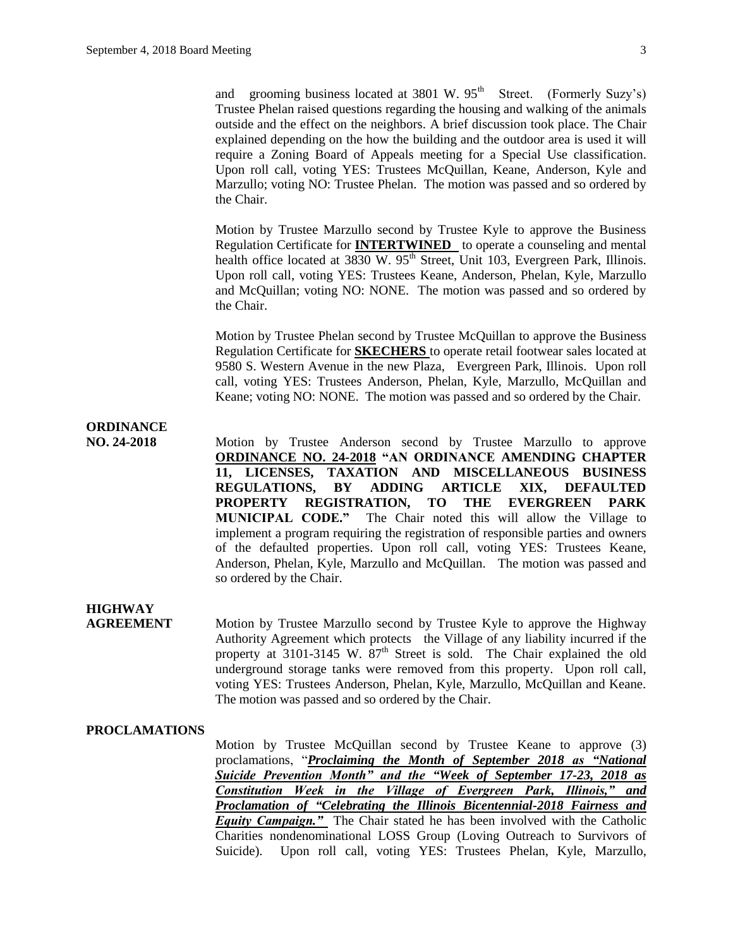and grooming business located at  $3801 \text{ W}$ .  $95^{\text{th}}$  Street. (Formerly Suzy's) Trustee Phelan raised questions regarding the housing and walking of the animals outside and the effect on the neighbors. A brief discussion took place. The Chair explained depending on the how the building and the outdoor area is used it will require a Zoning Board of Appeals meeting for a Special Use classification. Upon roll call, voting YES: Trustees McQuillan, Keane, Anderson, Kyle and Marzullo; voting NO: Trustee Phelan. The motion was passed and so ordered by the Chair.

Motion by Trustee Marzullo second by Trustee Kyle to approve the Business Regulation Certificate for **INTERTWINED** to operate a counseling and mental health office located at 3830 W.  $95<sup>th</sup>$  Street, Unit 103, Evergreen Park, Illinois. Upon roll call, voting YES: Trustees Keane, Anderson, Phelan, Kyle, Marzullo and McQuillan; voting NO: NONE. The motion was passed and so ordered by the Chair.

Motion by Trustee Phelan second by Trustee McQuillan to approve the Business Regulation Certificate for **SKECHERS** to operate retail footwear sales located at 9580 S. Western Avenue in the new Plaza, Evergreen Park, Illinois. Upon roll call, voting YES: Trustees Anderson, Phelan, Kyle, Marzullo, McQuillan and Keane; voting NO: NONE. The motion was passed and so ordered by the Chair.

## **ORDINANCE**

**NO. 24-2018** Motion by Trustee Anderson second by Trustee Marzullo to approve **ORDINANCE NO. 24-2018 "AN ORDINANCE AMENDING CHAPTER 11, LICENSES, TAXATION AND MISCELLANEOUS BUSINESS REGULATIONS, BY ADDING ARTICLE XIX, DEFAULTED PROPERTY REGISTRATION, TO THE EVERGREEN PARK**  The Chair noted this will allow the Village to implement a program requiring the registration of responsible parties and owners of the defaulted properties. Upon roll call, voting YES: Trustees Keane, Anderson, Phelan, Kyle, Marzullo and McQuillan. The motion was passed and so ordered by the Chair.

### **HIGHWAY**

**AGREEMENT** Motion by Trustee Marzullo second by Trustee Kyle to approve the Highway Authority Agreement which protects the Village of any liability incurred if the property at  $3101-3145$  W.  $87<sup>th</sup>$  Street is sold. The Chair explained the old underground storage tanks were removed from this property. Upon roll call, voting YES: Trustees Anderson, Phelan, Kyle, Marzullo, McQuillan and Keane. The motion was passed and so ordered by the Chair.

#### **PROCLAMATIONS**

Motion by Trustee McQuillan second by Trustee Keane to approve (3) proclamations, "*Proclaiming the Month of September 2018 as "National Suicide Prevention Month" and the "Week of September 17-23, 2018 as Constitution Week in the Village of Evergreen Park, Illinois," and Proclamation of "Celebrating the Illinois Bicentennial-2018 Fairness and Equity Campaign.* The Chair stated he has been involved with the Catholic Charities nondenominational LOSS Group (Loving Outreach to Survivors of Suicide). Upon roll call, voting YES: Trustees Phelan, Kyle, Marzullo,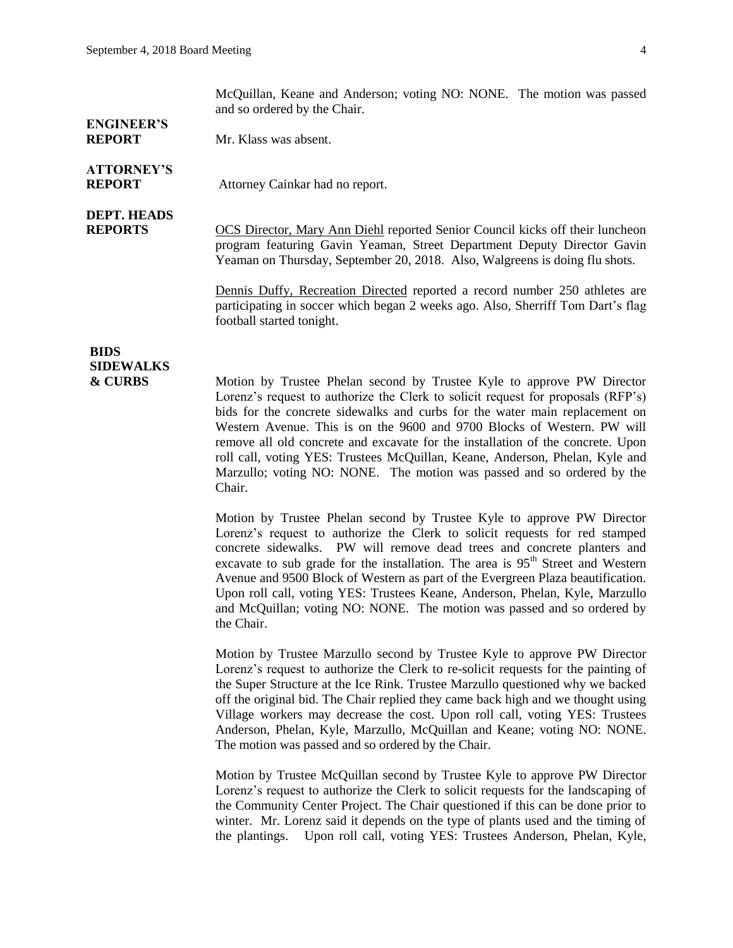McQuillan, Keane and Anderson; voting NO: NONE. The motion was passed and so ordered by the Chair.

# **ENGINEER'S**

**REPORT** Mr. Klass was absent.

# **ATTORNEY'S**

**REPORT** Attorney Cainkar had no report.

# **DEPT. HEADS**

**REPORTS** OCS Director, Mary Ann Diehl reported Senior Council kicks off their luncheon program featuring Gavin Yeaman, Street Department Deputy Director Gavin Yeaman on Thursday, September 20, 2018. Also, Walgreens is doing flu shots.

> Dennis Duffy, Recreation Directed reported a record number 250 athletes are participating in soccer which began 2 weeks ago. Also, Sherriff Tom Dart's flag football started tonight.

### **BIDS SIDEWALKS**

**& CURBS** Motion by Trustee Phelan second by Trustee Kyle to approve PW Director Lorenz's request to authorize the Clerk to solicit request for proposals (RFP's) bids for the concrete sidewalks and curbs for the water main replacement on Western Avenue. This is on the 9600 and 9700 Blocks of Western. PW will remove all old concrete and excavate for the installation of the concrete. Upon roll call, voting YES: Trustees McQuillan, Keane, Anderson, Phelan, Kyle and Marzullo; voting NO: NONE. The motion was passed and so ordered by the Chair.

> Motion by Trustee Phelan second by Trustee Kyle to approve PW Director Lorenz's request to authorize the Clerk to solicit requests for red stamped concrete sidewalks. PW will remove dead trees and concrete planters and excavate to sub grade for the installation. The area is  $95<sup>th</sup>$  Street and Western Avenue and 9500 Block of Western as part of the Evergreen Plaza beautification. Upon roll call, voting YES: Trustees Keane, Anderson, Phelan, Kyle, Marzullo and McQuillan; voting NO: NONE. The motion was passed and so ordered by the Chair.

> Motion by Trustee Marzullo second by Trustee Kyle to approve PW Director Lorenz's request to authorize the Clerk to re-solicit requests for the painting of the Super Structure at the Ice Rink. Trustee Marzullo questioned why we backed off the original bid. The Chair replied they came back high and we thought using Village workers may decrease the cost. Upon roll call, voting YES: Trustees Anderson, Phelan, Kyle, Marzullo, McQuillan and Keane; voting NO: NONE. The motion was passed and so ordered by the Chair.

> Motion by Trustee McQuillan second by Trustee Kyle to approve PW Director Lorenz's request to authorize the Clerk to solicit requests for the landscaping of the Community Center Project. The Chair questioned if this can be done prior to winter. Mr. Lorenz said it depends on the type of plants used and the timing of the plantings. Upon roll call, voting YES: Trustees Anderson, Phelan, Kyle,